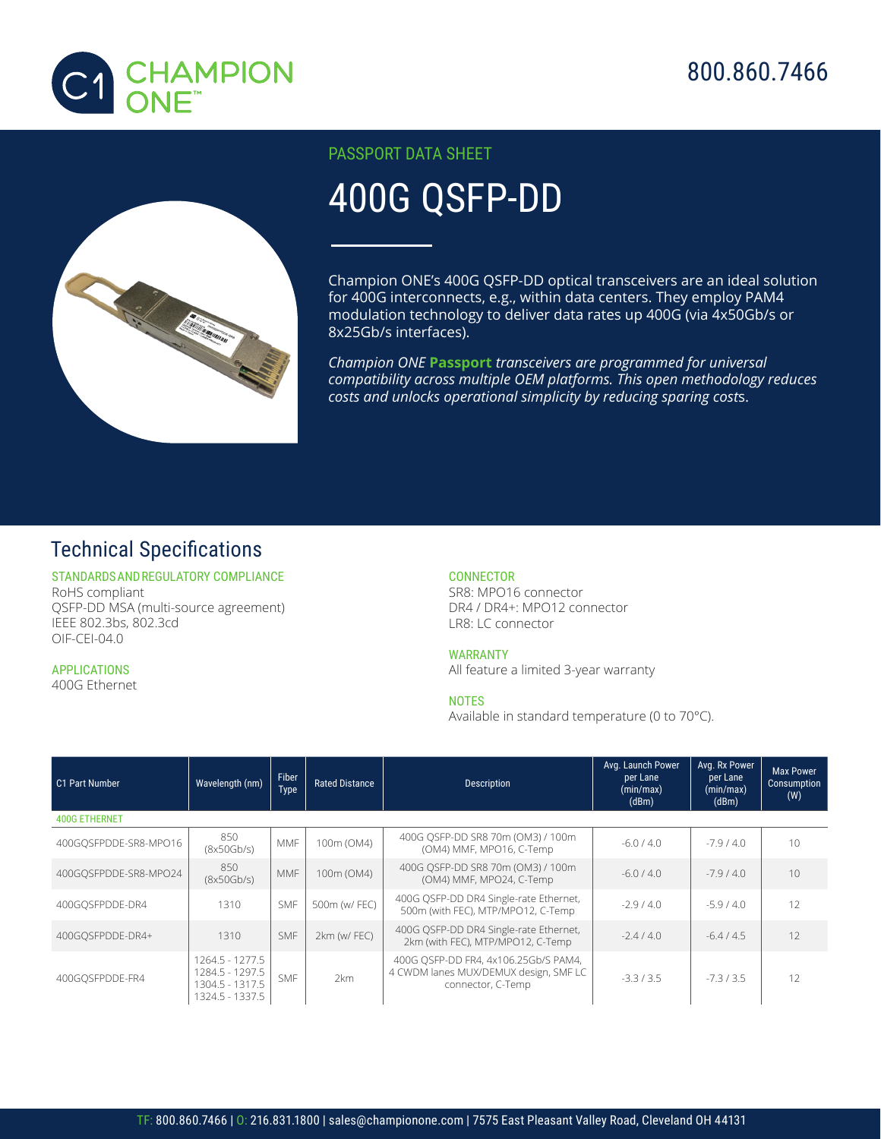



## PASSPORT DATA SHEET

# 400G QSFP-DD

Champion ONE's 400G QSFP-DD optical transceivers are an ideal solution for 400G interconnects, e.g., within data centers. They employ PAM4 modulation technology to deliver data rates up 400G (via 4x50Gb/s or 8x25Gb/s interfaces).

*Champion ONE* **Passport** *transceivers are programmed for universal compatibility across multiple OEM platforms. This open methodology reduces costs and unlocks operational simplicity by reducing sparing cost*s.

# Technical Specifications

#### STANDARDS AND REGULATORY COMPLIANCE RoHS compliant QSFP-DD MSA (multi-source agreement) IEEE 802.3bs, 802.3cd

OIF-CEI-04.0

# APPLICATIONS

1

400G Ethernet

### **CONNECTOR**

SR8: MPO16 connector DR4 / DR4+: MPO12 connector LR8: LC connector

#### WARRANTY

All feature a limited 3-year warranty

#### **NOTES**

Available in standard temperature (0 to 70°C).

| C1 Part Number        | Wavelength (nm)                                                          | Fiber<br><b>Type</b> | <b>Rated Distance</b> | <b>Description</b>                                                                                 | Avg. Launch Power<br>per Lane<br>(min/max)<br>(dBm) | Avg. Rx Power<br>per Lane<br>$\overline{\text{(min/max)}}$<br>(dBm) | <b>Max Power</b><br>Consumption<br>(W) |  |  |  |  |
|-----------------------|--------------------------------------------------------------------------|----------------------|-----------------------|----------------------------------------------------------------------------------------------------|-----------------------------------------------------|---------------------------------------------------------------------|----------------------------------------|--|--|--|--|
| <b>400G ETHERNET</b>  |                                                                          |                      |                       |                                                                                                    |                                                     |                                                                     |                                        |  |  |  |  |
| 400GOSFPDDE-SR8-MPO16 | 850<br>(8x50Gb/s)                                                        | MMF                  | 100m (OM4)            | 400G OSFP-DD SR8 70m (OM3) / 100m<br>(OM4) MMF, MPO16, C-Temp                                      | $-6.0 / 4.0$                                        | $-7.9/4.0$                                                          | 10                                     |  |  |  |  |
| 400GOSFPDDE-SR8-MPO24 | 850<br>(8x50Gb/s)                                                        | <b>MMF</b>           | 100m (OM4)            | 400G OSFP-DD SR8 70m (OM3) / 100m<br>(OM4) MMF, MPO24, C-Temp                                      | $-6.0/4.0$                                          | $-7.9/4.0$                                                          | 10                                     |  |  |  |  |
| 400GOSFPDDE-DR4       | 1310                                                                     | <b>SMF</b>           | 500m (w/ FEC)         | 400G OSFP-DD DR4 Single-rate Ethernet,<br>500m (with FEC), MTP/MPO12, C-Temp                       | $-2.9/4.0$                                          | $-5.9/4.0$                                                          | 12                                     |  |  |  |  |
| 400GOSFPDDE-DR4+      | 1310                                                                     | <b>SMF</b>           | 2km (w/FEC)           | 400G OSFP-DD DR4 Single-rate Ethernet,<br>2km (with FEC), MTP/MPO12, C-Temp                        | $-2.4/4.0$                                          | $-6.4/4.5$                                                          | 12                                     |  |  |  |  |
| 400GOSFPDDE-FR4       | 1264.5 - 1277.5<br>1284.5 - 1297.5<br>1304.5 - 1317.5<br>1324.5 - 1337.5 | <b>SMF</b>           | 2km                   | 400G OSFP-DD FR4, 4x106.25Gb/S PAM4,<br>4 CWDM lanes MUX/DEMUX design, SMF LC<br>connector, C-Temp | $-3.3/3.5$                                          | $-7.3/3.5$                                                          | 12                                     |  |  |  |  |